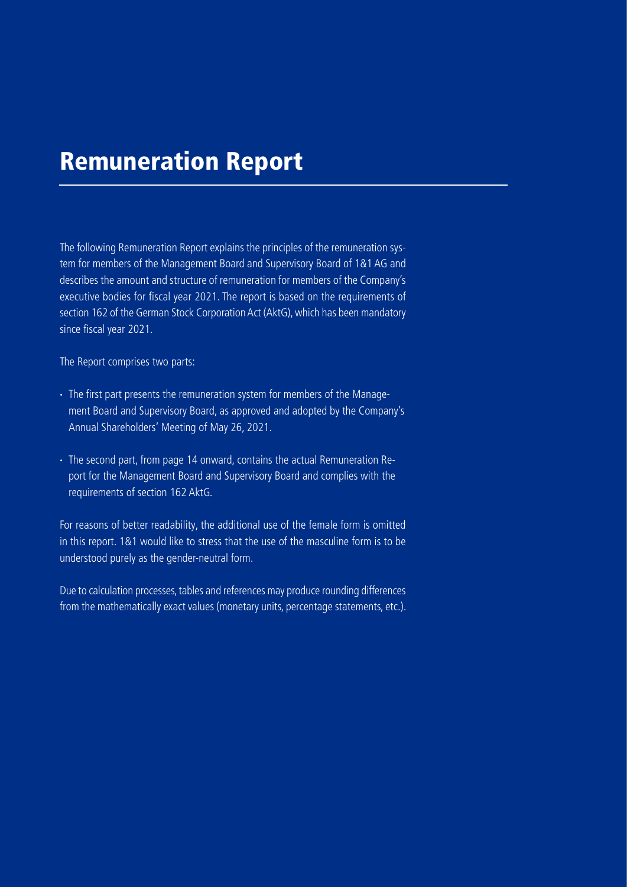# Remuneration Report

The following Remuneration Report explains the principles of the remuneration system for members of the Management Board and Supervisory Board of 1&1 AG and describes the amount and structure of remuneration for members of the Company's executive bodies for fiscal year 2021. The report is based on the requirements of section 162 of the German Stock Corporation Act (AktG), which has been mandatory since fiscal year 2021.

The Report comprises two parts:

- · The first part presents the remuneration system for members of the Management Board and Supervisory Board, as approved and adopted by the Company's Annual Shareholders' Meeting of May 26, 2021.
- · The second part, from page 14 onward, contains the actual Remuneration Report for the Management Board and Supervisory Board and complies with the requirements of section 162 AktG.

For reasons of better readability, the additional use of the female form is omitted in this report. 1&1 would like to stress that the use of the masculine form is to be understood purely as the gender-neutral form.

Due to calculation processes, tables and references may produce rounding differences from the mathematically exact values (monetary units, percentage statements, etc.).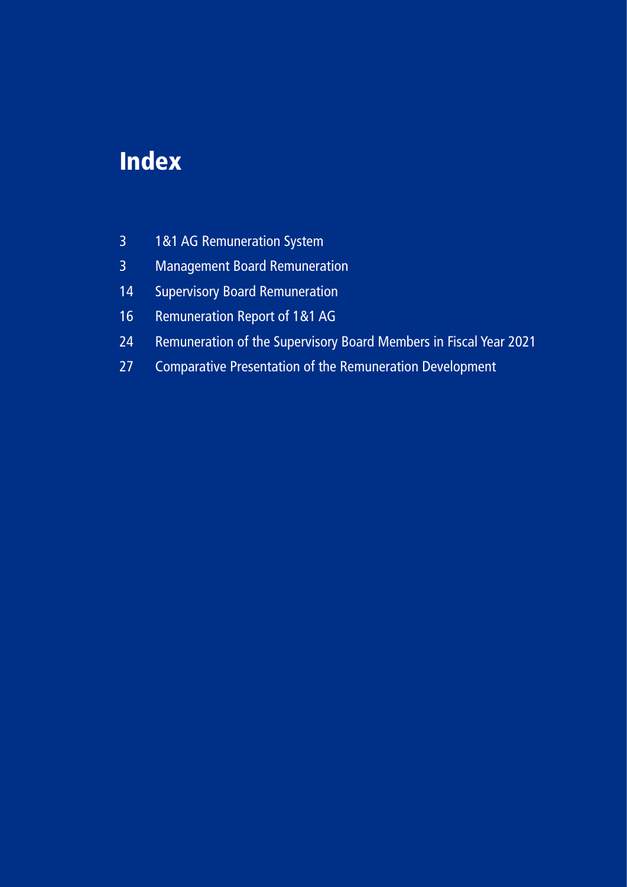# Index

- [1&1 AG Remuneration System](#page-2-0)
- [Management Board Remuneration](#page-2-0)
- [Supervisory Board Remuneration](#page-13-0)
- [Remuneration Report of 1&1 AG](#page-15-0)
- [Remuneration of the Supervisory Board Members in Fiscal Year 2021](#page-23-0)
- [Comparative Presentation of the Remuneration Development](#page-26-0)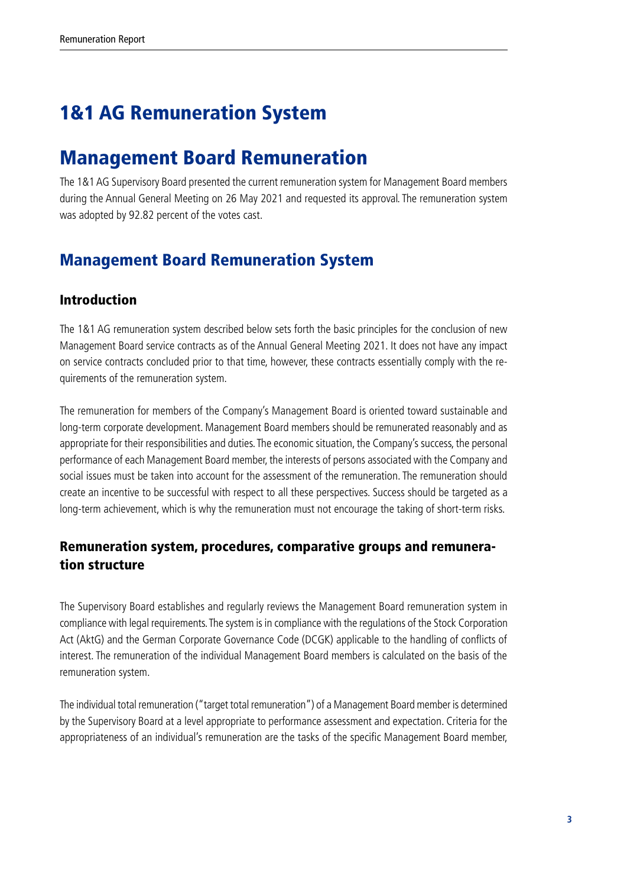# <span id="page-2-0"></span>1&1 AG Remuneration System

# Management Board Remuneration

The 1&1 AG Supervisory Board presented the current remuneration system for Management Board members during the Annual General Meeting on 26 May 2021 and requested its approval. The remuneration system was adopted by 92.82 percent of the votes cast.

## Management Board Remuneration System

### Introduction

The 1&1 AG remuneration system described below sets forth the basic principles for the conclusion of new Management Board service contracts as of the Annual General Meeting 2021. It does not have any impact on service contracts concluded prior to that time, however, these contracts essentially comply with the requirements of the remuneration system.

The remuneration for members of the Company's Management Board is oriented toward sustainable and long-term corporate development. Management Board members should be remunerated reasonably and as appropriate for their responsibilities and duties. The economic situation, the Company's success, the personal performance of each Management Board member, the interests of persons associated with the Company and social issues must be taken into account for the assessment of the remuneration. The remuneration should create an incentive to be successful with respect to all these perspectives. Success should be targeted as a long-term achievement, which is why the remuneration must not encourage the taking of short-term risks.

## Remuneration system, procedures, comparative groups and remuneration structure

The Supervisory Board establishes and regularly reviews the Management Board remuneration system in compliance with legal requirements. The system is in compliance with the regulations of the Stock Corporation Act (AktG) and the German Corporate Governance Code (DCGK) applicable to the handling of conflicts of interest. The remuneration of the individual Management Board members is calculated on the basis of the remuneration system.

The individual total remuneration ("target total remuneration") of a Management Board member is determined by the Supervisory Board at a level appropriate to performance assessment and expectation. Criteria for the appropriateness of an individual's remuneration are the tasks of the specific Management Board member,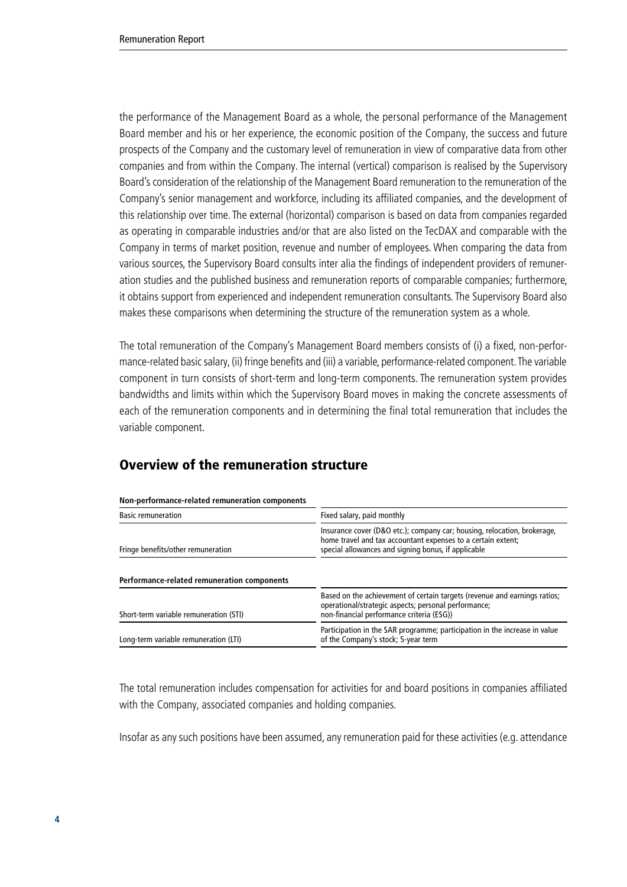the performance of the Management Board as a whole, the personal performance of the Management Board member and his or her experience, the economic position of the Company, the success and future prospects of the Company and the customary level of remuneration in view of comparative data from other companies and from within the Company. The internal (vertical) comparison is realised by the Supervisory Board's consideration of the relationship of the Management Board remuneration to the remuneration of the Company's senior management and workforce, including its affiliated companies, and the development of this relationship over time. The external (horizontal) comparison is based on data from companies regarded as operating in comparable industries and/or that are also listed on the TecDAX and comparable with the Company in terms of market position, revenue and number of employees. When comparing the data from various sources, the Supervisory Board consults inter alia the findings of independent providers of remuneration studies and the published business and remuneration reports of comparable companies; furthermore, it obtains support from experienced and independent remuneration consultants. The Supervisory Board also makes these comparisons when determining the structure of the remuneration system as a whole.

The total remuneration of the Company's Management Board members consists of (i) a fixed, non-performance-related basic salary, (ii) fringe benefits and (iii) a variable, performance-related component. The variable component in turn consists of short-term and long-term components. The remuneration system provides bandwidths and limits within which the Supervisory Board moves in making the concrete assessments of each of the remuneration components and in determining the final total remuneration that includes the variable component.

## Overview of the remuneration structure

#### **Non-performance-related remuneration components**

| <b>Basic remuneration</b>                   | Fixed salary, paid monthly                                                                                                                                                                      |  |  |  |
|---------------------------------------------|-------------------------------------------------------------------------------------------------------------------------------------------------------------------------------------------------|--|--|--|
| Fringe benefits/other remuneration          | Insurance cover (D&O etc.); company car; housing, relocation, brokerage,<br>home travel and tax accountant expenses to a certain extent;<br>special allowances and signing bonus, if applicable |  |  |  |
| Performance-related remuneration components |                                                                                                                                                                                                 |  |  |  |
| Short-term variable remuneration (STI)      | Based on the achievement of certain targets (revenue and earnings ratios;<br>operational/strategic aspects; personal performance;<br>non-financial performance criteria (ESG))                  |  |  |  |
| Long-term variable remuneration (LTI)       | Participation in the SAR programme; participation in the increase in value<br>of the Company's stock; 5-year term                                                                               |  |  |  |
|                                             |                                                                                                                                                                                                 |  |  |  |

The total remuneration includes compensation for activities for and board positions in companies affiliated with the Company, associated companies and holding companies.

Insofar as any such positions have been assumed, any remuneration paid for these activities (e.g. attendance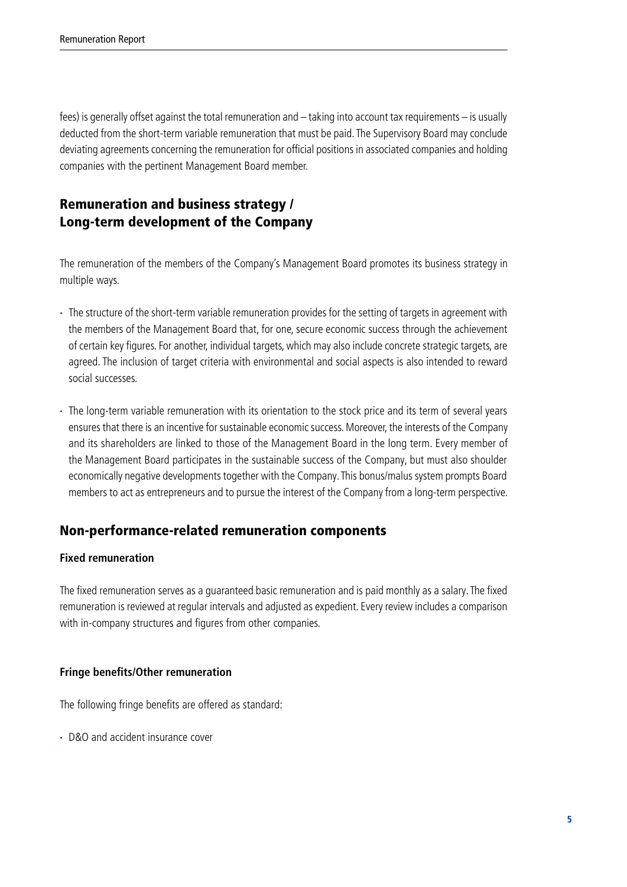fees) is generally offset against the total remuneration and – taking into account tax requirements – is usually deducted from the short-term variable remuneration that must be paid. The Supervisory Board may conclude deviating agreements concerning the remuneration for official positions in associated companies and holding companies with the pertinent Management Board member.

## Remuneration and business strategy / Long-term development of the Company

The remuneration of the members of the Company's Management Board promotes its business strategy in multiple ways.

- · The structure of the short-term variable remuneration provides for the setting of targets in agreement with the members of the Management Board that, for one, secure economic success through the achievement of certain key figures. For another, individual targets, which may also include concrete strategic targets, are agreed. The inclusion of target criteria with environmental and social aspects is also intended to reward social successes.
- · The long-term variable remuneration with its orientation to the stock price and its term of several years ensures that there is an incentive for sustainable economic success. Moreover, the interests of the Company and its shareholders are linked to those of the Management Board in the long term. Every member of the Management Board participates in the sustainable success of the Company, but must also shoulder economically negative developments together with the Company. This bonus/malus system prompts Board members to act as entrepreneurs and to pursue the interest of the Company from a long-term perspective.

## Non-performance-related remuneration components

#### **Fixed remuneration**

The fixed remuneration serves as a guaranteed basic remuneration and is paid monthly as a salary. The fixed remuneration is reviewed at regular intervals and adjusted as expedient. Every review includes a comparison with in-company structures and figures from other companies.

#### **Fringe benefits/Other remuneration**

The following fringe benefits are offered as standard:

· D&O and accident insurance cover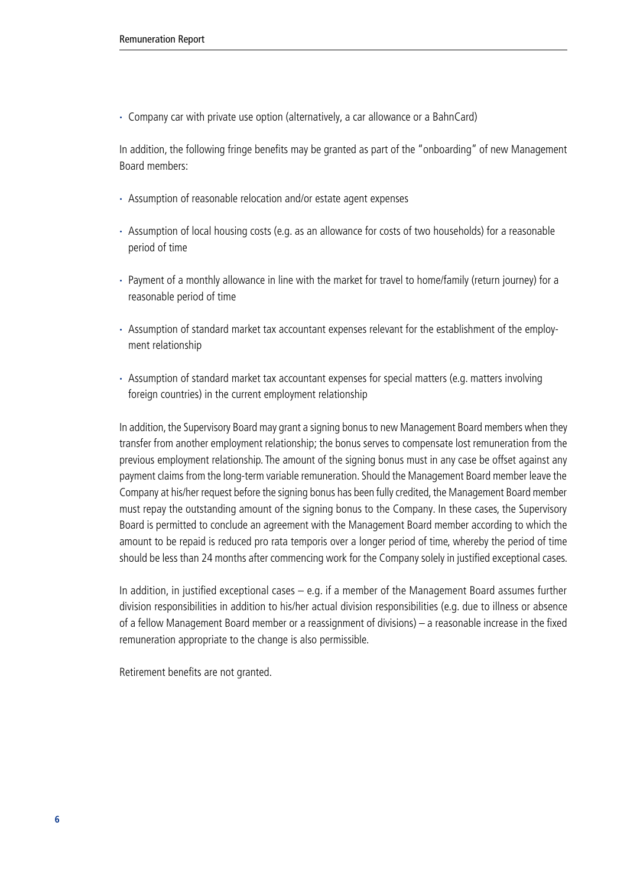· Company car with private use option (alternatively, a car allowance or a BahnCard)

In addition, the following fringe benefits may be granted as part of the "onboarding" of new Management Board members:

- · Assumption of reasonable relocation and/or estate agent expenses
- · Assumption of local housing costs (e.g. as an allowance for costs of two households) for a reasonable period of time
- · Payment of a monthly allowance in line with the market for travel to home/family (return journey) for a reasonable period of time
- · Assumption of standard market tax accountant expenses relevant for the establishment of the employment relationship
- · Assumption of standard market tax accountant expenses for special matters (e.g. matters involving foreign countries) in the current employment relationship

In addition, the Supervisory Board may grant a signing bonus to new Management Board members when they transfer from another employment relationship; the bonus serves to compensate lost remuneration from the previous employment relationship. The amount of the signing bonus must in any case be offset against any payment claims from the long-term variable remuneration. Should the Management Board member leave the Company at his/her request before the signing bonus has been fully credited, the Management Board member must repay the outstanding amount of the signing bonus to the Company. In these cases, the Supervisory Board is permitted to conclude an agreement with the Management Board member according to which the amount to be repaid is reduced pro rata temporis over a longer period of time, whereby the period of time should be less than 24 months after commencing work for the Company solely in justified exceptional cases.

In addition, in justified exceptional cases – e.g. if a member of the Management Board assumes further division responsibilities in addition to his/her actual division responsibilities (e.g. due to illness or absence of a fellow Management Board member or a reassignment of divisions) – a reasonable increase in the fixed remuneration appropriate to the change is also permissible.

Retirement benefits are not granted.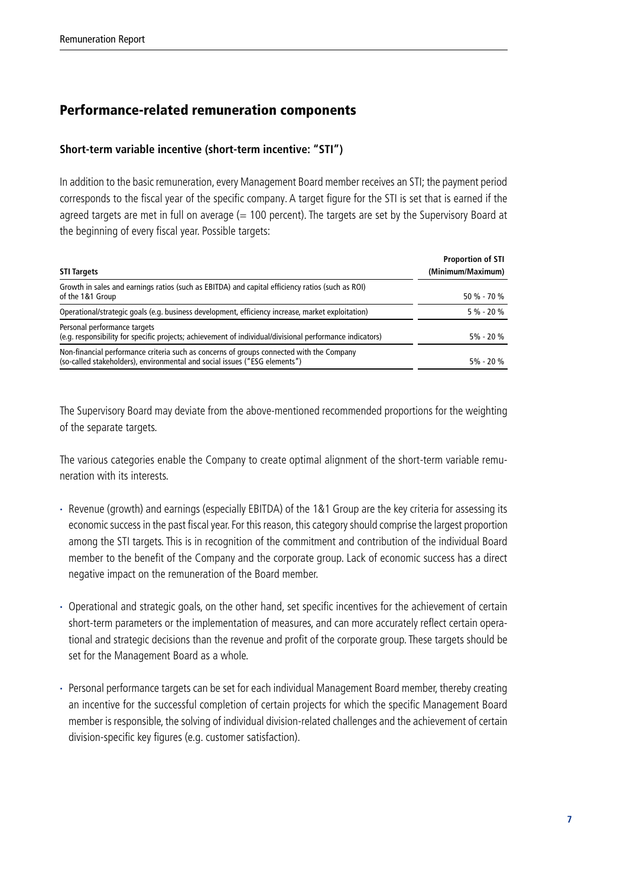## Performance-related remuneration components

#### **Short-term variable incentive (short-term incentive: "STI")**

In addition to the basic remuneration, every Management Board member receives an STI; the payment period corresponds to the fiscal year of the specific company. A target figure for the STI is set that is earned if the agreed targets are met in full on average  $(= 100$  percent). The targets are set by the Supervisory Board at the beginning of every fiscal year. Possible targets:

| <b>STI Targets</b>                                                                                                                                                     | <b>Proportion of STI</b><br>(Minimum/Maximum) |
|------------------------------------------------------------------------------------------------------------------------------------------------------------------------|-----------------------------------------------|
| Growth in sales and earnings ratios (such as EBITDA) and capital efficiency ratios (such as ROI)<br>of the 1&1 Group                                                   | $50 \% - 70 \%$                               |
| Operational/strategic goals (e.g. business development, efficiency increase, market exploitation)                                                                      | $5\% - 20\%$                                  |
| Personal performance targets<br>(e.g. responsibility for specific projects; achievement of individual/divisional performance indicators)                               | $5\% - 20\%$                                  |
| Non-financial performance criteria such as concerns of groups connected with the Company<br>(so-called stakeholders), environmental and social issues ("ESG elements") | $5\% - 20\%$                                  |

The Supervisory Board may deviate from the above-mentioned recommended proportions for the weighting of the separate targets.

The various categories enable the Company to create optimal alignment of the short-term variable remuneration with its interests.

- · Revenue (growth) and earnings (especially EBITDA) of the 1&1 Group are the key criteria for assessing its economic success in the past fiscal year. For this reason, this category should comprise the largest proportion among the STI targets. This is in recognition of the commitment and contribution of the individual Board member to the benefit of the Company and the corporate group. Lack of economic success has a direct negative impact on the remuneration of the Board member.
- · Operational and strategic goals, on the other hand, set specific incentives for the achievement of certain short-term parameters or the implementation of measures, and can more accurately reflect certain operational and strategic decisions than the revenue and profit of the corporate group. These targets should be set for the Management Board as a whole.
- · Personal performance targets can be set for each individual Management Board member, thereby creating an incentive for the successful completion of certain projects for which the specific Management Board member is responsible, the solving of individual division-related challenges and the achievement of certain division-specific key figures (e.g. customer satisfaction).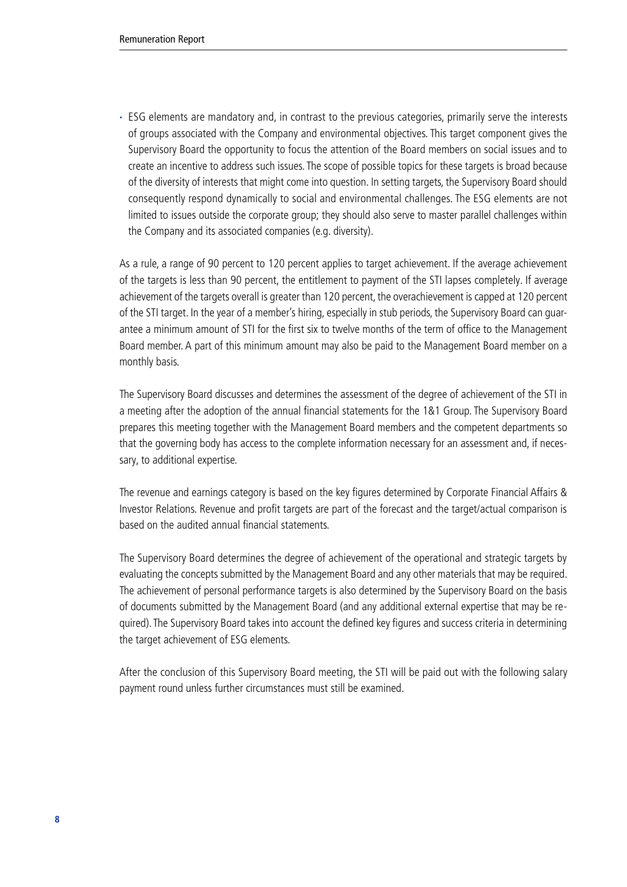· ESG elements are mandatory and, in contrast to the previous categories, primarily serve the interests of groups associated with the Company and environmental objectives. This target component gives the Supervisory Board the opportunity to focus the attention of the Board members on social issues and to create an incentive to address such issues. The scope of possible topics for these targets is broad because of the diversity of interests that might come into question. In setting targets, the Supervisory Board should consequently respond dynamically to social and environmental challenges. The ESG elements are not limited to issues outside the corporate group; they should also serve to master parallel challenges within the Company and its associated companies (e.g. diversity).

As a rule, a range of 90 percent to 120 percent applies to target achievement. If the average achievement of the targets is less than 90 percent, the entitlement to payment of the STI lapses completely. If average achievement of the targets overall is greater than 120 percent, the overachievement is capped at 120 percent of the STI target. In the year of a member's hiring, especially in stub periods, the Supervisory Board can guarantee a minimum amount of STI for the first six to twelve months of the term of office to the Management Board member. A part of this minimum amount may also be paid to the Management Board member on a monthly basis.

The Supervisory Board discusses and determines the assessment of the degree of achievement of the STI in a meeting after the adoption of the annual financial statements for the 1&1 Group. The Supervisory Board prepares this meeting together with the Management Board members and the competent departments so that the governing body has access to the complete information necessary for an assessment and, if necessary, to additional expertise.

The revenue and earnings category is based on the key figures determined by Corporate Financial Affairs & Investor Relations. Revenue and profit targets are part of the forecast and the target/actual comparison is based on the audited annual financial statements.

The Supervisory Board determines the degree of achievement of the operational and strategic targets by evaluating the concepts submitted by the Management Board and any other materials that may be required. The achievement of personal performance targets is also determined by the Supervisory Board on the basis of documents submitted by the Management Board (and any additional external expertise that may be required). The Supervisory Board takes into account the defined key figures and success criteria in determining the target achievement of ESG elements.

After the conclusion of this Supervisory Board meeting, the STI will be paid out with the following salary payment round unless further circumstances must still be examined.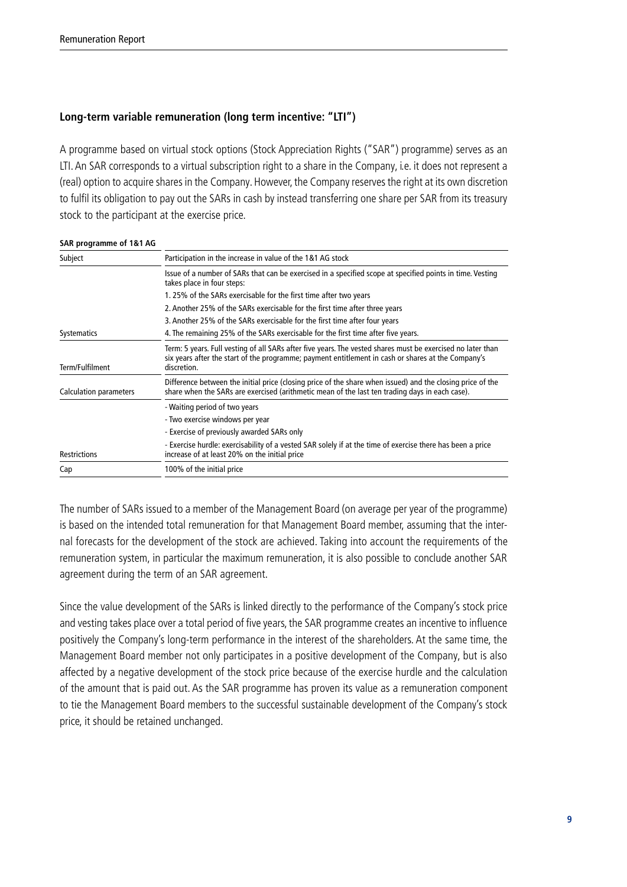#### **Long-term variable remuneration (long term incentive: "LTI")**

A programme based on virtual stock options (Stock Appreciation Rights ("SAR") programme) serves as an LTI. An SAR corresponds to a virtual subscription right to a share in the Company, i.e. it does not represent a (real) option to acquire shares in the Company. However, the Company reserves the right at its own discretion to fulfil its obligation to pay out the SARs in cash by instead transferring one share per SAR from its treasury stock to the participant at the exercise price.

#### **SAR programme of 1&1 AG**

| Subject                | Participation in the increase in value of the 1&1 AG stock                                                                                                                                                                       |  |  |  |  |
|------------------------|----------------------------------------------------------------------------------------------------------------------------------------------------------------------------------------------------------------------------------|--|--|--|--|
|                        | Issue of a number of SARs that can be exercised in a specified scope at specified points in time. Vesting<br>takes place in four steps:                                                                                          |  |  |  |  |
|                        | 1.25% of the SARs exercisable for the first time after two years                                                                                                                                                                 |  |  |  |  |
|                        | 2. Another 25% of the SARs exercisable for the first time after three years                                                                                                                                                      |  |  |  |  |
|                        | 3. Another 25% of the SARs exercisable for the first time after four years                                                                                                                                                       |  |  |  |  |
| Systematics            | 4. The remaining 25% of the SARs exercisable for the first time after five years.                                                                                                                                                |  |  |  |  |
| Term/Fulfilment        | Term: 5 years. Full vesting of all SARs after five years. The vested shares must be exercised no later than<br>six years after the start of the programme; payment entitlement in cash or shares at the Company's<br>discretion. |  |  |  |  |
| Calculation parameters | Difference between the initial price (closing price of the share when issued) and the closing price of the<br>share when the SARs are exercised (arithmetic mean of the last ten trading days in each case).                     |  |  |  |  |
|                        | - Waiting period of two years                                                                                                                                                                                                    |  |  |  |  |
|                        | - Two exercise windows per year                                                                                                                                                                                                  |  |  |  |  |
|                        | - Exercise of previously awarded SARs only                                                                                                                                                                                       |  |  |  |  |
| <b>Restrictions</b>    | - Exercise hurdle: exercisability of a vested SAR solely if at the time of exercise there has been a price<br>increase of at least 20% on the initial price                                                                      |  |  |  |  |
| Cap                    | 100% of the initial price                                                                                                                                                                                                        |  |  |  |  |

The number of SARs issued to a member of the Management Board (on average per year of the programme) is based on the intended total remuneration for that Management Board member, assuming that the internal forecasts for the development of the stock are achieved. Taking into account the requirements of the remuneration system, in particular the maximum remuneration, it is also possible to conclude another SAR agreement during the term of an SAR agreement.

Since the value development of the SARs is linked directly to the performance of the Company's stock price and vesting takes place over a total period of five years, the SAR programme creates an incentive to influence positively the Company's long-term performance in the interest of the shareholders. At the same time, the Management Board member not only participates in a positive development of the Company, but is also affected by a negative development of the stock price because of the exercise hurdle and the calculation of the amount that is paid out. As the SAR programme has proven its value as a remuneration component to tie the Management Board members to the successful sustainable development of the Company's stock price, it should be retained unchanged.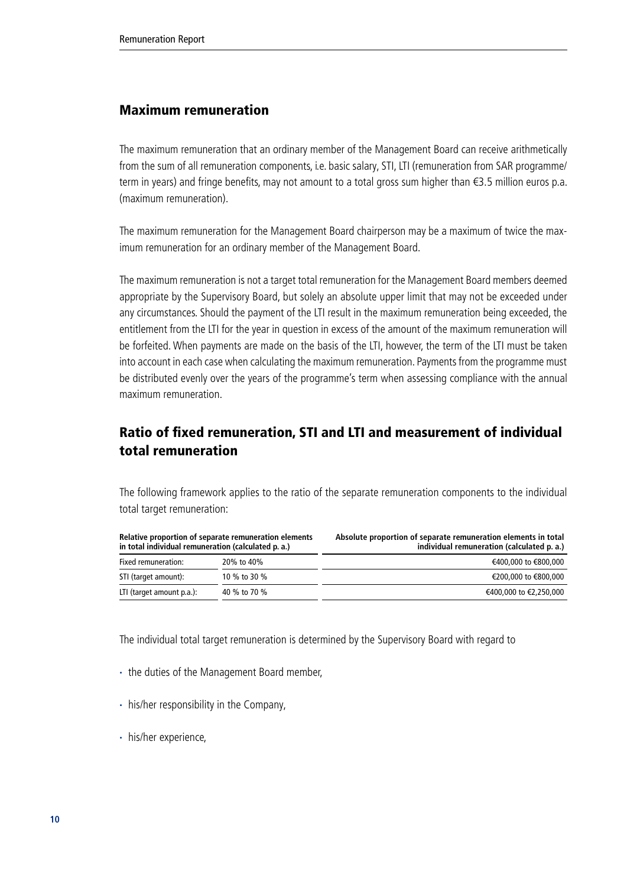### Maximum remuneration

The maximum remuneration that an ordinary member of the Management Board can receive arithmetically from the sum of all remuneration components, i.e. basic salary, STI, LTI (remuneration from SAR programme/ term in years) and fringe benefits, may not amount to a total gross sum higher than €3.5 million euros p.a. (maximum remuneration).

The maximum remuneration for the Management Board chairperson may be a maximum of twice the maximum remuneration for an ordinary member of the Management Board.

The maximum remuneration is not a target total remuneration for the Management Board members deemed appropriate by the Supervisory Board, but solely an absolute upper limit that may not be exceeded under any circumstances. Should the payment of the LTI result in the maximum remuneration being exceeded, the entitlement from the LTI for the year in question in excess of the amount of the maximum remuneration will be forfeited. When payments are made on the basis of the LTI, however, the term of the LTI must be taken into account in each case when calculating the maximum remuneration. Payments from the programme must be distributed evenly over the years of the programme's term when assessing compliance with the annual maximum remuneration.

## Ratio of fixed remuneration, STI and LTI and measurement of individual total remuneration

The following framework applies to the ratio of the separate remuneration components to the individual total target remuneration:

| Relative proportion of separate remuneration elements<br>in total individual remuneration (calculated p. a.) |              | Absolute proportion of separate remuneration elements in total<br>individual remuneration (calculated p. a.) |
|--------------------------------------------------------------------------------------------------------------|--------------|--------------------------------------------------------------------------------------------------------------|
| Fixed remuneration:                                                                                          | 20% to 40%   | €400,000 to €800,000                                                                                         |
| STI (target amount):                                                                                         | 10 % to 30 % | €200,000 to €800,000                                                                                         |
| LTI (target amount p.a.):                                                                                    | 40 % to 70 % | €400,000 to €2,250,000                                                                                       |

The individual total target remuneration is determined by the Supervisory Board with regard to

- · the duties of the Management Board member,
- · his/her responsibility in the Company,
- · his/her experience,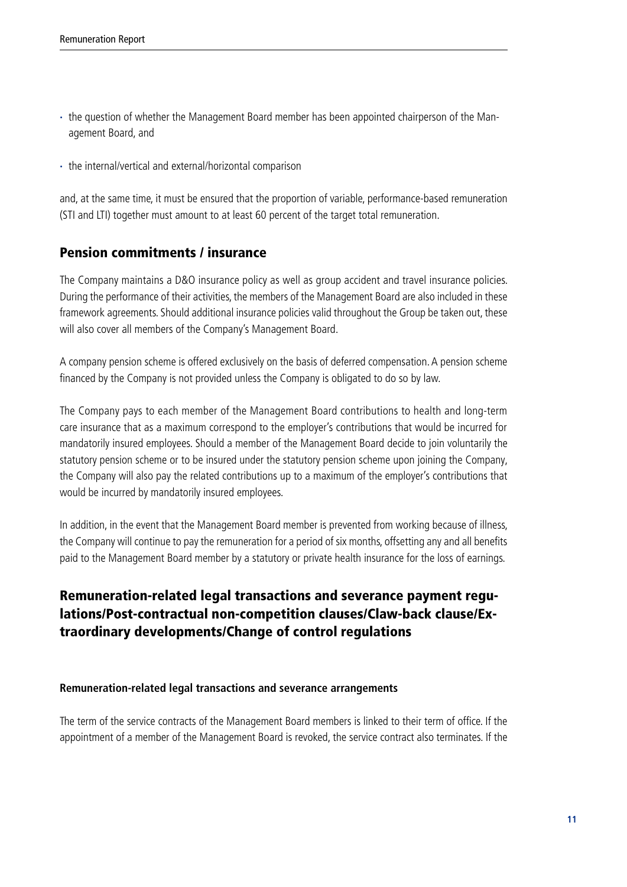- · the question of whether the Management Board member has been appointed chairperson of the Management Board, and
- · the internal/vertical and external/horizontal comparison

and, at the same time, it must be ensured that the proportion of variable, performance-based remuneration (STI and LTI) together must amount to at least 60 percent of the target total remuneration.

## Pension commitments / insurance

The Company maintains a D&O insurance policy as well as group accident and travel insurance policies. During the performance of their activities, the members of the Management Board are also included in these framework agreements. Should additional insurance policies valid throughout the Group be taken out, these will also cover all members of the Company's Management Board.

A company pension scheme is offered exclusively on the basis of deferred compensation. A pension scheme financed by the Company is not provided unless the Company is obligated to do so by law.

The Company pays to each member of the Management Board contributions to health and long-term care insurance that as a maximum correspond to the employer's contributions that would be incurred for mandatorily insured employees. Should a member of the Management Board decide to join voluntarily the statutory pension scheme or to be insured under the statutory pension scheme upon joining the Company, the Company will also pay the related contributions up to a maximum of the employer's contributions that would be incurred by mandatorily insured employees.

In addition, in the event that the Management Board member is prevented from working because of illness, the Company will continue to pay the remuneration for a period of six months, offsetting any and all benefits paid to the Management Board member by a statutory or private health insurance for the loss of earnings.

## Remuneration-related legal transactions and severance payment regulations/Post-contractual non-competition clauses/Claw-back clause/Extraordinary developments/Change of control regulations

#### **Remuneration-related legal transactions and severance arrangements**

The term of the service contracts of the Management Board members is linked to their term of office. If the appointment of a member of the Management Board is revoked, the service contract also terminates. If the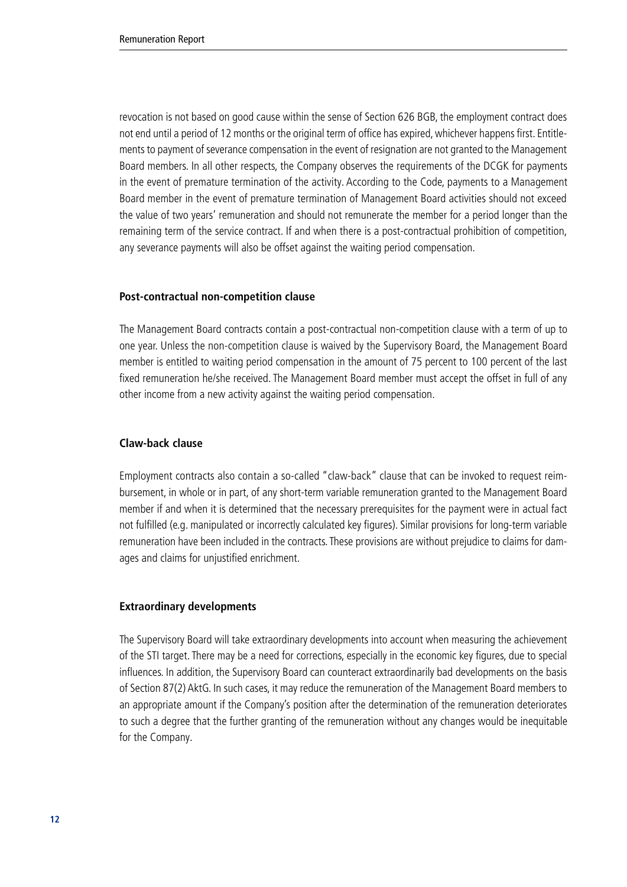revocation is not based on good cause within the sense of Section 626 BGB, the employment contract does not end until a period of 12 months or the original term of office has expired, whichever happens first. Entitlements to payment of severance compensation in the event of resignation are not granted to the Management Board members. In all other respects, the Company observes the requirements of the DCGK for payments in the event of premature termination of the activity. According to the Code, payments to a Management Board member in the event of premature termination of Management Board activities should not exceed the value of two years' remuneration and should not remunerate the member for a period longer than the remaining term of the service contract. If and when there is a post-contractual prohibition of competition, any severance payments will also be offset against the waiting period compensation.

#### **Post-contractual non-competition clause**

The Management Board contracts contain a post-contractual non-competition clause with a term of up to one year. Unless the non-competition clause is waived by the Supervisory Board, the Management Board member is entitled to waiting period compensation in the amount of 75 percent to 100 percent of the last fixed remuneration he/she received. The Management Board member must accept the offset in full of any other income from a new activity against the waiting period compensation.

#### **Claw-back clause**

Employment contracts also contain a so-called "claw-back" clause that can be invoked to request reimbursement, in whole or in part, of any short-term variable remuneration granted to the Management Board member if and when it is determined that the necessary prerequisites for the payment were in actual fact not fulfilled (e.g. manipulated or incorrectly calculated key figures). Similar provisions for long-term variable remuneration have been included in the contracts. These provisions are without prejudice to claims for damages and claims for unjustified enrichment.

#### **Extraordinary developments**

The Supervisory Board will take extraordinary developments into account when measuring the achievement of the STI target. There may be a need for corrections, especially in the economic key figures, due to special influences. In addition, the Supervisory Board can counteract extraordinarily bad developments on the basis of Section 87(2) AktG. In such cases, it may reduce the remuneration of the Management Board members to an appropriate amount if the Company's position after the determination of the remuneration deteriorates to such a degree that the further granting of the remuneration without any changes would be inequitable for the Company.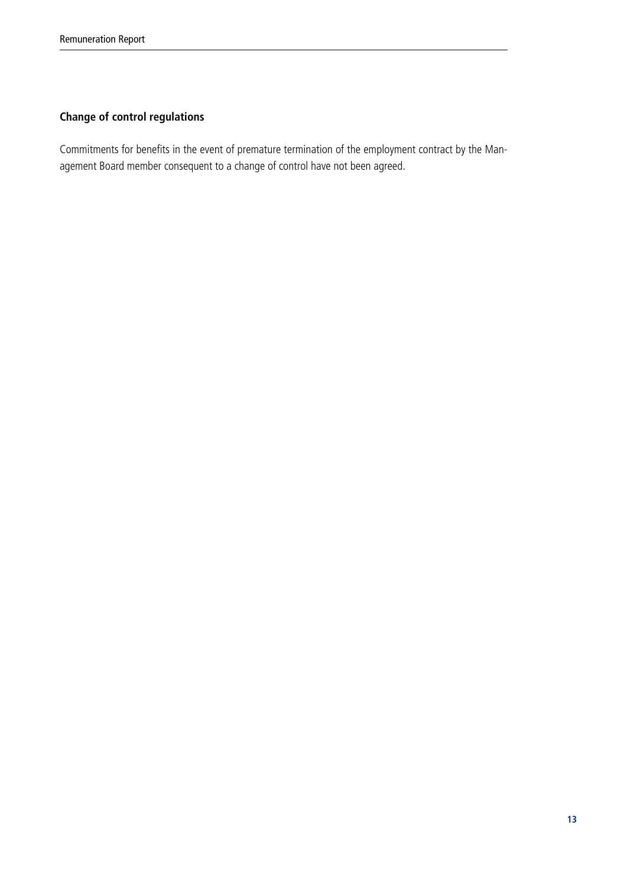## **Change of control regulations**

Commitments for benefits in the event of premature termination of the employment contract by the Management Board member consequent to a change of control have not been agreed.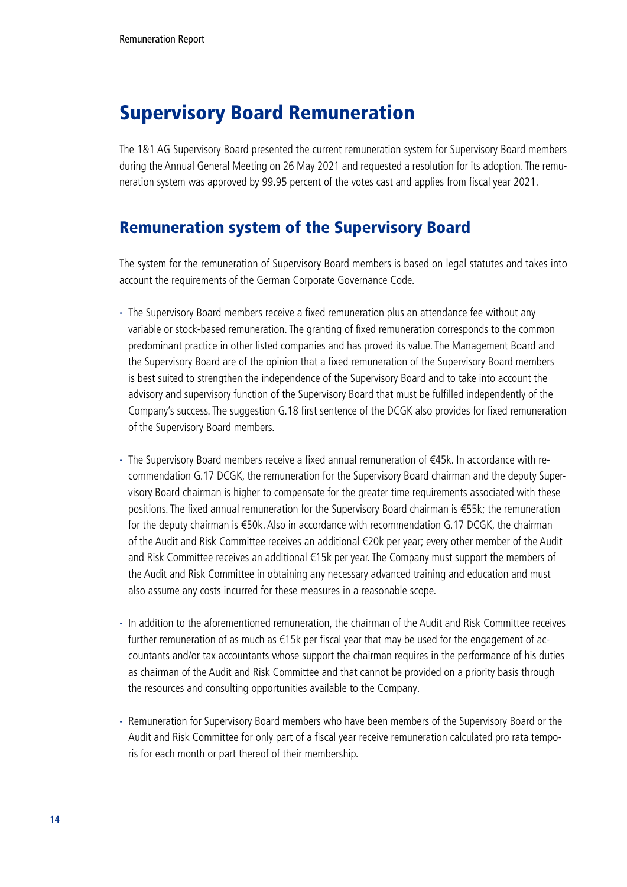# <span id="page-13-0"></span>Supervisory Board Remuneration

The 1&1 AG Supervisory Board presented the current remuneration system for Supervisory Board members during the Annual General Meeting on 26 May 2021 and requested a resolution for its adoption. The remuneration system was approved by 99.95 percent of the votes cast and applies from fiscal year 2021.

# Remuneration system of the Supervisory Board

The system for the remuneration of Supervisory Board members is based on legal statutes and takes into account the requirements of the German Corporate Governance Code.

- · The Supervisory Board members receive a fixed remuneration plus an attendance fee without any variable or stock-based remuneration. The granting of fixed remuneration corresponds to the common predominant practice in other listed companies and has proved its value. The Management Board and the Supervisory Board are of the opinion that a fixed remuneration of the Supervisory Board members is best suited to strengthen the independence of the Supervisory Board and to take into account the advisory and supervisory function of the Supervisory Board that must be fulfilled independently of the Company's success. The suggestion G.18 first sentence of the DCGK also provides for fixed remuneration of the Supervisory Board members.
- The Supervisory Board members receive a fixed annual remuneration of €45k. In accordance with recommendation G.17 DCGK, the remuneration for the Supervisory Board chairman and the deputy Supervisory Board chairman is higher to compensate for the greater time requirements associated with these positions. The fixed annual remuneration for the Supervisory Board chairman is €55k; the remuneration for the deputy chairman is €50k. Also in accordance with recommendation G.17 DCGK, the chairman of the Audit and Risk Committee receives an additional €20k per year; every other member of the Audit and Risk Committee receives an additional €15k per year. The Company must support the members of the Audit and Risk Committee in obtaining any necessary advanced training and education and must also assume any costs incurred for these measures in a reasonable scope.
- · In addition to the aforementioned remuneration, the chairman of the Audit and Risk Committee receives further remuneration of as much as €15k per fiscal year that may be used for the engagement of accountants and/or tax accountants whose support the chairman requires in the performance of his duties as chairman of the Audit and Risk Committee and that cannot be provided on a priority basis through the resources and consulting opportunities available to the Company.
- · Remuneration for Supervisory Board members who have been members of the Supervisory Board or the Audit and Risk Committee for only part of a fiscal year receive remuneration calculated pro rata temporis for each month or part thereof of their membership.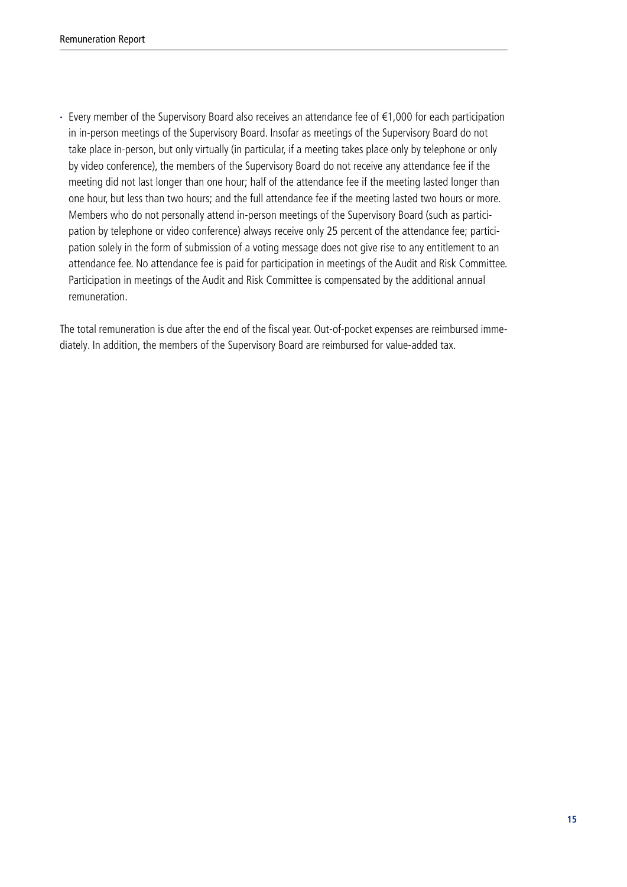· Every member of the Supervisory Board also receives an attendance fee of €1,000 for each participation in in-person meetings of the Supervisory Board. Insofar as meetings of the Supervisory Board do not take place in-person, but only virtually (in particular, if a meeting takes place only by telephone or only by video conference), the members of the Supervisory Board do not receive any attendance fee if the meeting did not last longer than one hour; half of the attendance fee if the meeting lasted longer than one hour, but less than two hours; and the full attendance fee if the meeting lasted two hours or more. Members who do not personally attend in-person meetings of the Supervisory Board (such as participation by telephone or video conference) always receive only 25 percent of the attendance fee; participation solely in the form of submission of a voting message does not give rise to any entitlement to an attendance fee. No attendance fee is paid for participation in meetings of the Audit and Risk Committee. Participation in meetings of the Audit and Risk Committee is compensated by the additional annual remuneration.

The total remuneration is due after the end of the fiscal year. Out-of-pocket expenses are reimbursed immediately. In addition, the members of the Supervisory Board are reimbursed for value-added tax.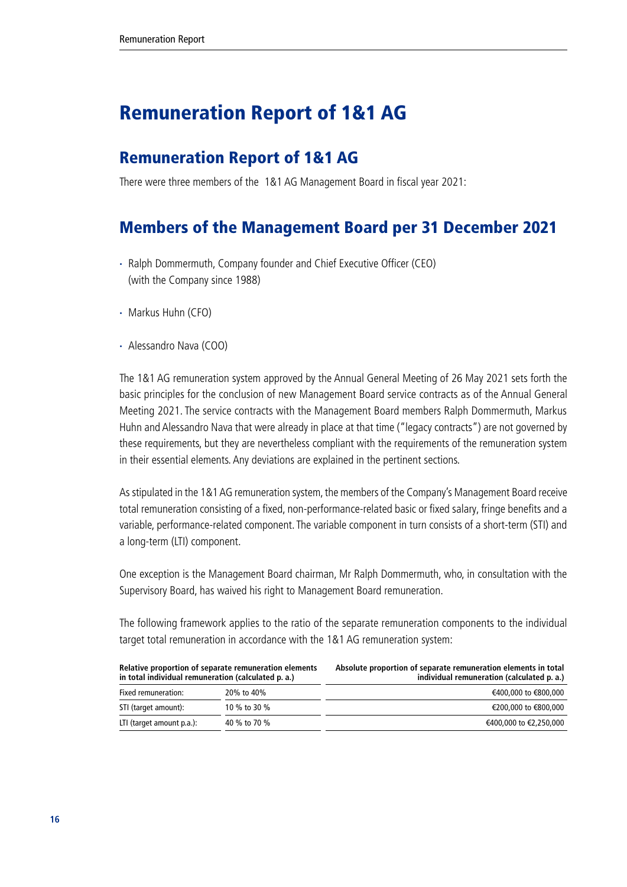# <span id="page-15-0"></span>Remuneration Report of 1&1 AG

## Remuneration Report of 1&1 AG

There were three members of the 1&1 AG Management Board in fiscal year 2021:

# Members of the Management Board per 31 December 2021

- · Ralph Dommermuth, Company founder and Chief Executive Officer (CEO) (with the Company since 1988)
- · Markus Huhn (CFO)
- · Alessandro Nava (COO)

The 1&1 AG remuneration system approved by the Annual General Meeting of 26 May 2021 sets forth the basic principles for the conclusion of new Management Board service contracts as of the Annual General Meeting 2021. The service contracts with the Management Board members Ralph Dommermuth, Markus Huhn and Alessandro Nava that were already in place at that time ("legacy contracts") are not governed by these requirements, but they are nevertheless compliant with the requirements of the remuneration system in their essential elements. Any deviations are explained in the pertinent sections.

As stipulated in the 1&1 AG remuneration system, the members of the Company's Management Board receive total remuneration consisting of a fixed, non-performance-related basic or fixed salary, fringe benefits and a variable, performance-related component. The variable component in turn consists of a short-term (STI) and a long-term (LTI) component.

One exception is the Management Board chairman, Mr Ralph Dommermuth, who, in consultation with the Supervisory Board, has waived his right to Management Board remuneration.

The following framework applies to the ratio of the separate remuneration components to the individual target total remuneration in accordance with the 1&1 AG remuneration system:

| Relative proportion of separate remuneration elements<br>in total individual remuneration (calculated p. a.) |              | Absolute proportion of separate remuneration elements in total<br>individual remuneration (calculated p. a.) |
|--------------------------------------------------------------------------------------------------------------|--------------|--------------------------------------------------------------------------------------------------------------|
| Fixed remuneration:                                                                                          | 20% to 40%   | €400,000 to €800,000                                                                                         |
| STI (target amount):                                                                                         | 10 % to 30 % | €200,000 to €800,000                                                                                         |
| LTI (target amount p.a.):                                                                                    | 40 % to 70 % | €400,000 to €2,250,000                                                                                       |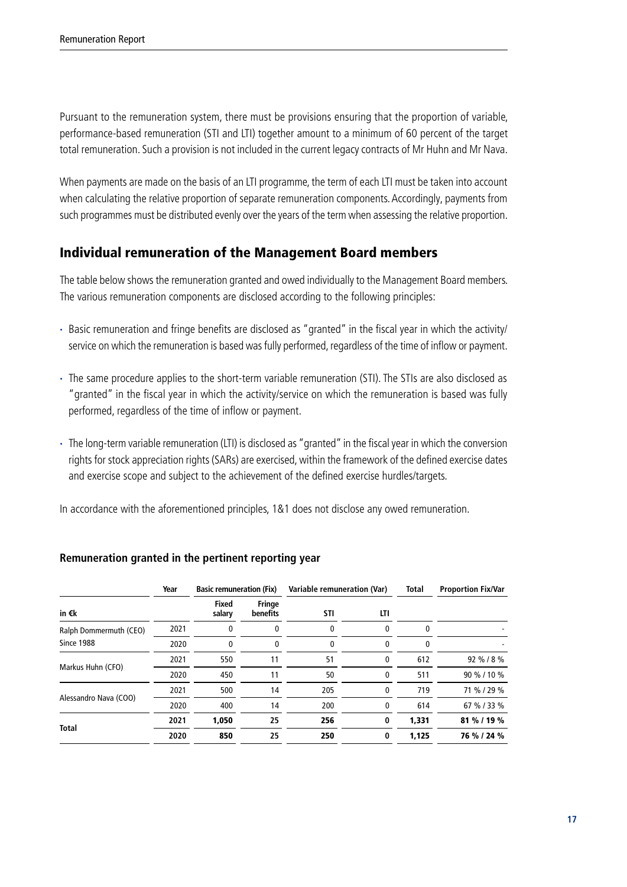Pursuant to the remuneration system, there must be provisions ensuring that the proportion of variable, performance-based remuneration (STI and LTI) together amount to a minimum of 60 percent of the target total remuneration. Such a provision is not included in the current legacy contracts of Mr Huhn and Mr Nava.

When payments are made on the basis of an LTI programme, the term of each LTI must be taken into account when calculating the relative proportion of separate remuneration components. Accordingly, payments from such programmes must be distributed evenly over the years of the term when assessing the relative proportion.

## Individual remuneration of the Management Board members

The table below shows the remuneration granted and owed individually to the Management Board members. The various remuneration components are disclosed according to the following principles:

- · Basic remuneration and fringe benefits are disclosed as "granted" in the fiscal year in which the activity/ service on which the remuneration is based was fully performed, regardless of the time of inflow or payment.
- · The same procedure applies to the short-term variable remuneration (STI). The STIs are also disclosed as "granted" in the fiscal year in which the activity/service on which the remuneration is based was fully performed, regardless of the time of inflow or payment.
- · The long-term variable remuneration (LTI) is disclosed as "granted" in the fiscal year in which the conversion rights for stock appreciation rights (SARs) are exercised, within the framework of the defined exercise dates and exercise scope and subject to the achievement of the defined exercise hurdles/targets.

In accordance with the aforementioned principles, 1&1 does not disclose any owed remuneration.

|                        | Year | <b>Basic remuneration (Fix)</b> |                           | Variable remuneration (Var) |              | Total | <b>Proportion Fix/Var</b> |
|------------------------|------|---------------------------------|---------------------------|-----------------------------|--------------|-------|---------------------------|
| in €k                  |      | Fixed<br>salary                 | <b>Fringe</b><br>benefits | STI                         | LTI          |       |                           |
| Ralph Dommermuth (CEO) | 2021 | 0                               | 0                         | 0                           | 0            | 0     |                           |
| <b>Since 1988</b>      | 2020 | 0                               | 0                         | 0                           | 0            | O     |                           |
|                        | 2021 | 550                             | 11                        | 51                          | 0            | 612   | 92 % / 8 %                |
| Markus Huhn (CFO)      | 2020 | 450                             | 11                        | 50                          | 0            | 511   | 90 % / 10 %               |
|                        | 2021 | 500                             | 14                        | 205                         | $\mathbf{0}$ | 719   | 71 % / 29 %               |
| Alessandro Nava (COO)  | 2020 | 400                             | 14                        | 200                         | 0            | 614   | 67 % / 33 %               |
|                        | 2021 | 1,050                           | 25                        | 256                         | 0            | 1,331 | 81 % / 19 %               |
| <b>Total</b>           | 2020 | 850                             | 25                        | 250                         | 0            | 1,125 | 76 % / 24 %               |

#### **Remuneration granted in the pertinent reporting year**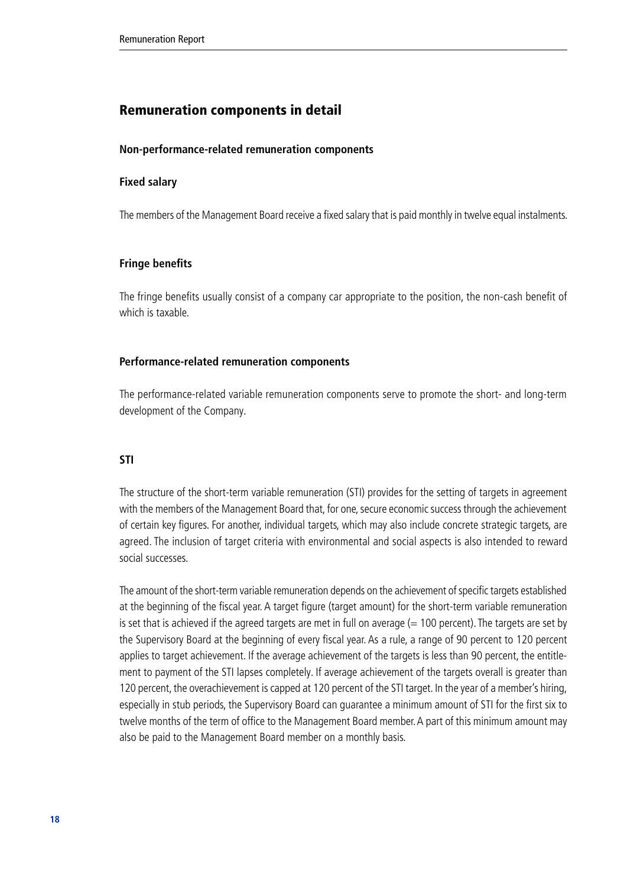### Remuneration components in detail

#### **Non-performance-related remuneration components**

#### **Fixed salary**

The members of the Management Board receive a fixed salary that is paid monthly in twelve equal instalments.

#### **Fringe benefits**

The fringe benefits usually consist of a company car appropriate to the position, the non-cash benefit of which is taxable.

#### **Performance-related remuneration components**

The performance-related variable remuneration components serve to promote the short- and long-term development of the Company.

#### **STI**

The structure of the short-term variable remuneration (STI) provides for the setting of targets in agreement with the members of the Management Board that, for one, secure economic success through the achievement of certain key figures. For another, individual targets, which may also include concrete strategic targets, are agreed. The inclusion of target criteria with environmental and social aspects is also intended to reward social successes.

The amount of the short-term variable remuneration depends on the achievement of specific targets established at the beginning of the fiscal year. A target figure (target amount) for the short-term variable remuneration is set that is achieved if the agreed targets are met in full on average  $(= 100$  percent). The targets are set by the Supervisory Board at the beginning of every fiscal year. As a rule, a range of 90 percent to 120 percent applies to target achievement. If the average achievement of the targets is less than 90 percent, the entitlement to payment of the STI lapses completely. If average achievement of the targets overall is greater than 120 percent, the overachievement is capped at 120 percent of the STI target. In the year of a member's hiring, especially in stub periods, the Supervisory Board can guarantee a minimum amount of STI for the first six to twelve months of the term of office to the Management Board member. A part of this minimum amount may also be paid to the Management Board member on a monthly basis.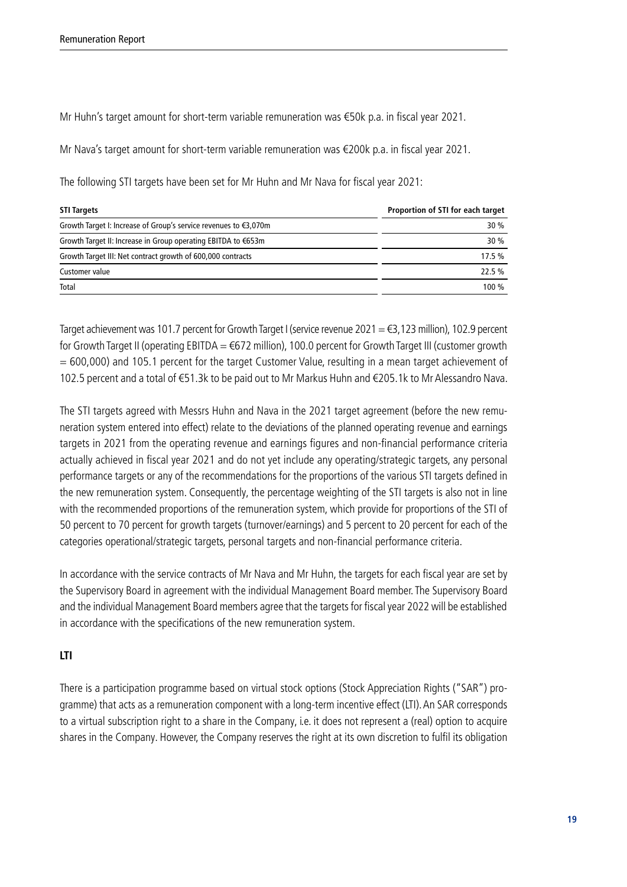Mr Huhn's target amount for short-term variable remuneration was €50k p.a. in fiscal year 2021.

Mr Nava's target amount for short-term variable remuneration was €200k p.a. in fiscal year 2021.

The following STI targets have been set for Mr Huhn and Mr Nava for fiscal year 2021:

| <b>STI Targets</b>                                               | Proportion of STI for each target |
|------------------------------------------------------------------|-----------------------------------|
| Growth Target I: Increase of Group's service revenues to €3,070m | 30%                               |
| Growth Target II: Increase in Group operating EBITDA to €653m    | 30%                               |
| Growth Target III: Net contract growth of 600,000 contracts      | 17.5%                             |
| Customer value                                                   | 22.5%                             |
| Total                                                            | 100 %                             |

Target achievement was 101.7 percent for Growth Target I (service revenue 2021 = €3,123 million), 102.9 percent for Growth Target II (operating EBITDA = €672 million), 100.0 percent for Growth Target III (customer growth = 600,000) and 105.1 percent for the target Customer Value, resulting in a mean target achievement of 102.5 percent and a total of €51.3k to be paid out to Mr Markus Huhn and €205.1k to Mr Alessandro Nava.

The STI targets agreed with Messrs Huhn and Nava in the 2021 target agreement (before the new remuneration system entered into effect) relate to the deviations of the planned operating revenue and earnings targets in 2021 from the operating revenue and earnings figures and non-financial performance criteria actually achieved in fiscal year 2021 and do not yet include any operating/strategic targets, any personal performance targets or any of the recommendations for the proportions of the various STI targets defined in the new remuneration system. Consequently, the percentage weighting of the STI targets is also not in line with the recommended proportions of the remuneration system, which provide for proportions of the STI of 50 percent to 70 percent for growth targets (turnover/earnings) and 5 percent to 20 percent for each of the categories operational/strategic targets, personal targets and non-financial performance criteria.

In accordance with the service contracts of Mr Nava and Mr Huhn, the targets for each fiscal year are set by the Supervisory Board in agreement with the individual Management Board member. The Supervisory Board and the individual Management Board members agree that the targets for fiscal year 2022 will be established in accordance with the specifications of the new remuneration system.

#### **LTI**

There is a participation programme based on virtual stock options (Stock Appreciation Rights ("SAR") programme) that acts as a remuneration component with a long-term incentive effect (LTI). An SAR corresponds to a virtual subscription right to a share in the Company, i.e. it does not represent a (real) option to acquire shares in the Company. However, the Company reserves the right at its own discretion to fulfil its obligation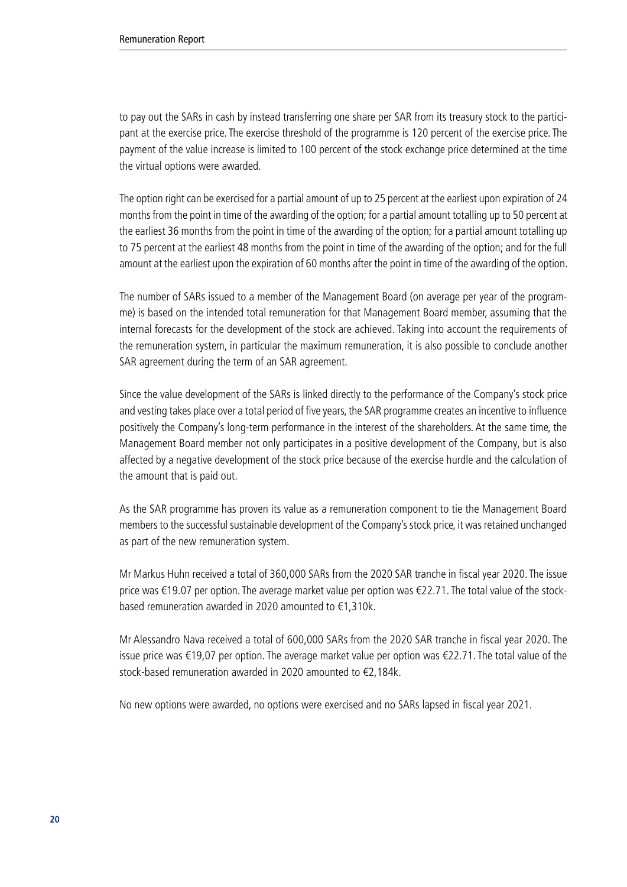to pay out the SARs in cash by instead transferring one share per SAR from its treasury stock to the participant at the exercise price. The exercise threshold of the programme is 120 percent of the exercise price. The payment of the value increase is limited to 100 percent of the stock exchange price determined at the time the virtual options were awarded.

The option right can be exercised for a partial amount of up to 25 percent at the earliest upon expiration of 24 months from the point in time of the awarding of the option; for a partial amount totalling up to 50 percent at the earliest 36 months from the point in time of the awarding of the option; for a partial amount totalling up to 75 percent at the earliest 48 months from the point in time of the awarding of the option; and for the full amount at the earliest upon the expiration of 60 months after the point in time of the awarding of the option.

The number of SARs issued to a member of the Management Board (on average per year of the programme) is based on the intended total remuneration for that Management Board member, assuming that the internal forecasts for the development of the stock are achieved. Taking into account the requirements of the remuneration system, in particular the maximum remuneration, it is also possible to conclude another SAR agreement during the term of an SAR agreement.

Since the value development of the SARs is linked directly to the performance of the Company's stock price and vesting takes place over a total period of five years, the SAR programme creates an incentive to influence positively the Company's long-term performance in the interest of the shareholders. At the same time, the Management Board member not only participates in a positive development of the Company, but is also affected by a negative development of the stock price because of the exercise hurdle and the calculation of the amount that is paid out.

As the SAR programme has proven its value as a remuneration component to tie the Management Board members to the successful sustainable development of the Company's stock price, it was retained unchanged as part of the new remuneration system.

Mr Markus Huhn received a total of 360,000 SARs from the 2020 SAR tranche in fiscal year 2020. The issue price was €19.07 per option. The average market value per option was €22.71. The total value of the stockbased remuneration awarded in 2020 amounted to €1,310k.

Mr Alessandro Nava received a total of 600,000 SARs from the 2020 SAR tranche in fiscal year 2020. The issue price was €19,07 per option. The average market value per option was €22.71. The total value of the stock-based remuneration awarded in 2020 amounted to €2,184k.

No new options were awarded, no options were exercised and no SARs lapsed in fiscal year 2021.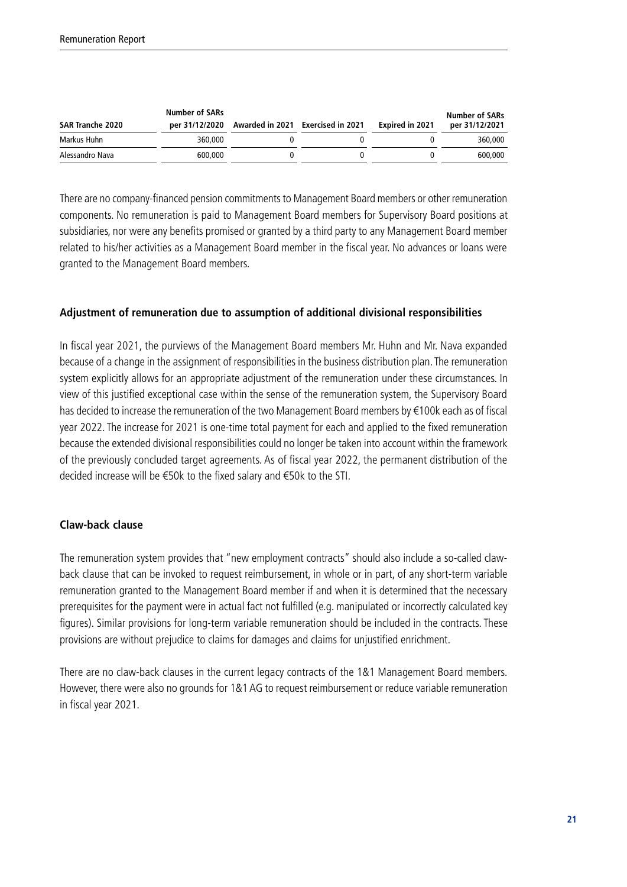| <b>SAR Tranche 2020</b> | <b>Number of SARs</b><br>per 31/12/2020 | Awarded in 2021 Exercised in 2021 | <b>Expired in 2021</b> | Number of SARs<br>per 31/12/2021 |
|-------------------------|-----------------------------------------|-----------------------------------|------------------------|----------------------------------|
| Markus Huhn             | 360,000                                 |                                   |                        | 360,000                          |
| Alessandro Nava         | 600,000                                 |                                   |                        | 600,000                          |

There are no company-financed pension commitments to Management Board members or other remuneration components. No remuneration is paid to Management Board members for Supervisory Board positions at subsidiaries, nor were any benefits promised or granted by a third party to any Management Board member related to his/her activities as a Management Board member in the fiscal year. No advances or loans were granted to the Management Board members.

#### **Adjustment of remuneration due to assumption of additional divisional responsibilities**

In fiscal year 2021, the purviews of the Management Board members Mr. Huhn and Mr. Nava expanded because of a change in the assignment of responsibilities in the business distribution plan. The remuneration system explicitly allows for an appropriate adjustment of the remuneration under these circumstances. In view of this justified exceptional case within the sense of the remuneration system, the Supervisory Board has decided to increase the remuneration of the two Management Board members by €100k each as of fiscal year 2022. The increase for 2021 is one-time total payment for each and applied to the fixed remuneration because the extended divisional responsibilities could no longer be taken into account within the framework of the previously concluded target agreements. As of fiscal year 2022, the permanent distribution of the decided increase will be €50k to the fixed salary and €50k to the STI.

#### **Claw-back clause**

The remuneration system provides that "new employment contracts" should also include a so-called clawback clause that can be invoked to request reimbursement, in whole or in part, of any short-term variable remuneration granted to the Management Board member if and when it is determined that the necessary prerequisites for the payment were in actual fact not fulfilled (e.g. manipulated or incorrectly calculated key figures). Similar provisions for long-term variable remuneration should be included in the contracts. These provisions are without prejudice to claims for damages and claims for unjustified enrichment.

There are no claw-back clauses in the current legacy contracts of the 1&1 Management Board members. However, there were also no grounds for 1&1 AG to request reimbursement or reduce variable remuneration in fiscal year 2021.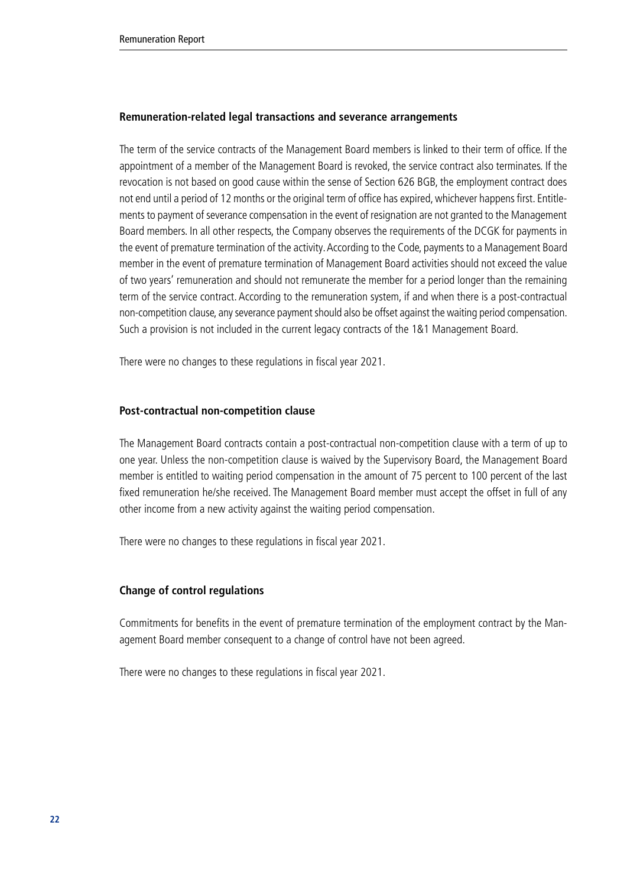#### **Remuneration-related legal transactions and severance arrangements**

The term of the service contracts of the Management Board members is linked to their term of office. If the appointment of a member of the Management Board is revoked, the service contract also terminates. If the revocation is not based on good cause within the sense of Section 626 BGB, the employment contract does not end until a period of 12 months or the original term of office has expired, whichever happens first. Entitlements to payment of severance compensation in the event of resignation are not granted to the Management Board members. In all other respects, the Company observes the requirements of the DCGK for payments in the event of premature termination of the activity. According to the Code, payments to a Management Board member in the event of premature termination of Management Board activities should not exceed the value of two years' remuneration and should not remunerate the member for a period longer than the remaining term of the service contract. According to the remuneration system, if and when there is a post-contractual non-competition clause, any severance payment should also be offset against the waiting period compensation. Such a provision is not included in the current legacy contracts of the 1&1 Management Board.

There were no changes to these regulations in fiscal year 2021.

#### **Post-contractual non-competition clause**

The Management Board contracts contain a post-contractual non-competition clause with a term of up to one year. Unless the non-competition clause is waived by the Supervisory Board, the Management Board member is entitled to waiting period compensation in the amount of 75 percent to 100 percent of the last fixed remuneration he/she received. The Management Board member must accept the offset in full of any other income from a new activity against the waiting period compensation.

There were no changes to these regulations in fiscal year 2021.

#### **Change of control regulations**

Commitments for benefits in the event of premature termination of the employment contract by the Management Board member consequent to a change of control have not been agreed.

There were no changes to these regulations in fiscal year 2021.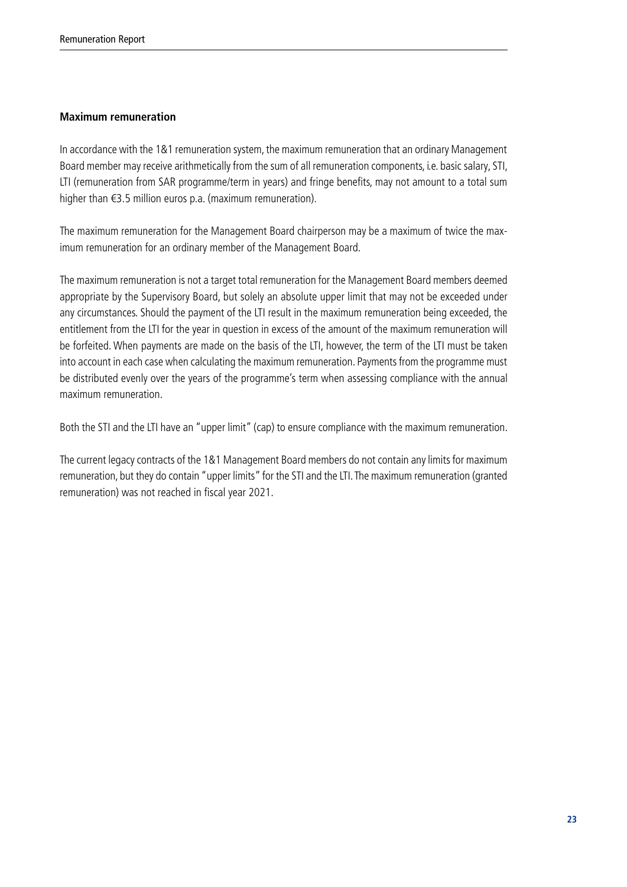#### **Maximum remuneration**

In accordance with the 1&1 remuneration system, the maximum remuneration that an ordinary Management Board member may receive arithmetically from the sum of all remuneration components, i.e. basic salary, STI, LTI (remuneration from SAR programme/term in years) and fringe benefits, may not amount to a total sum higher than €3.5 million euros p.a. (maximum remuneration).

The maximum remuneration for the Management Board chairperson may be a maximum of twice the maximum remuneration for an ordinary member of the Management Board.

The maximum remuneration is not a target total remuneration for the Management Board members deemed appropriate by the Supervisory Board, but solely an absolute upper limit that may not be exceeded under any circumstances. Should the payment of the LTI result in the maximum remuneration being exceeded, the entitlement from the LTI for the year in question in excess of the amount of the maximum remuneration will be forfeited. When payments are made on the basis of the LTI, however, the term of the LTI must be taken into account in each case when calculating the maximum remuneration. Payments from the programme must be distributed evenly over the years of the programme's term when assessing compliance with the annual maximum remuneration.

Both the STI and the LTI have an "upper limit" (cap) to ensure compliance with the maximum remuneration.

The current legacy contracts of the 1&1 Management Board members do not contain any limits for maximum remuneration, but they do contain "upper limits" for the STI and the LTI. The maximum remuneration (granted remuneration) was not reached in fiscal year 2021.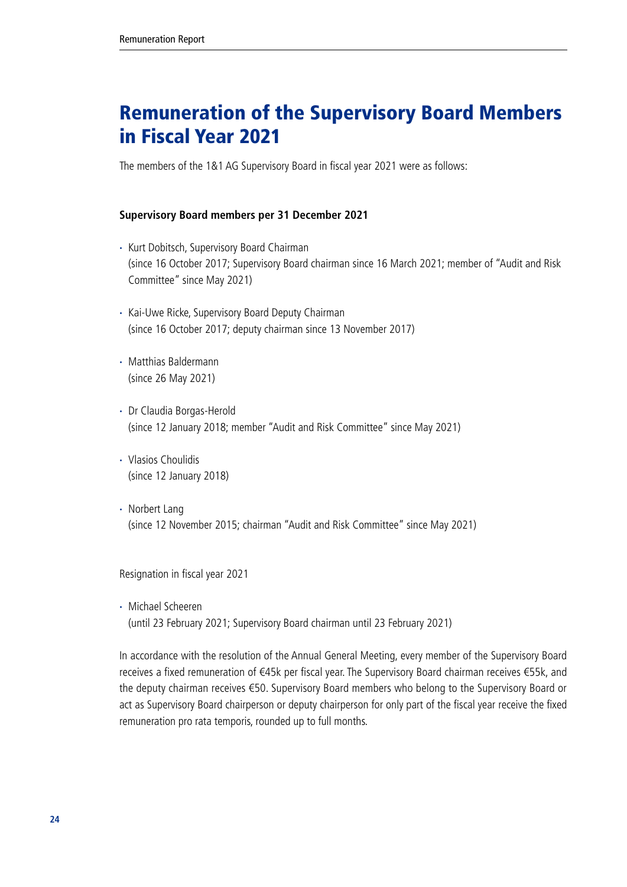# <span id="page-23-0"></span>Remuneration of the Supervisory Board Members in Fiscal Year 2021

The members of the 1&1 AG Supervisory Board in fiscal year 2021 were as follows:

#### **Supervisory Board members per 31 December 2021**

- · Kurt Dobitsch, Supervisory Board Chairman (since 16 October 2017; Supervisory Board chairman since 16 March 2021; member of "Audit and Risk Committee" since May 2021)
- · Kai-Uwe Ricke, Supervisory Board Deputy Chairman (since 16 October 2017; deputy chairman since 13 November 2017)
- · Matthias Baldermann (since 26 May 2021)
- · Dr Claudia Borgas-Herold (since 12 January 2018; member "Audit and Risk Committee" since May 2021)
- · Vlasios Choulidis (since 12 January 2018)
- · Norbert Lang (since 12 November 2015; chairman "Audit and Risk Committee" since May 2021)

Resignation in fiscal year 2021

· Michael Scheeren (until 23 February 2021; Supervisory Board chairman until 23 February 2021)

In accordance with the resolution of the Annual General Meeting, every member of the Supervisory Board receives a fixed remuneration of €45k per fiscal year. The Supervisory Board chairman receives €55k, and the deputy chairman receives €50. Supervisory Board members who belong to the Supervisory Board or act as Supervisory Board chairperson or deputy chairperson for only part of the fiscal year receive the fixed remuneration pro rata temporis, rounded up to full months.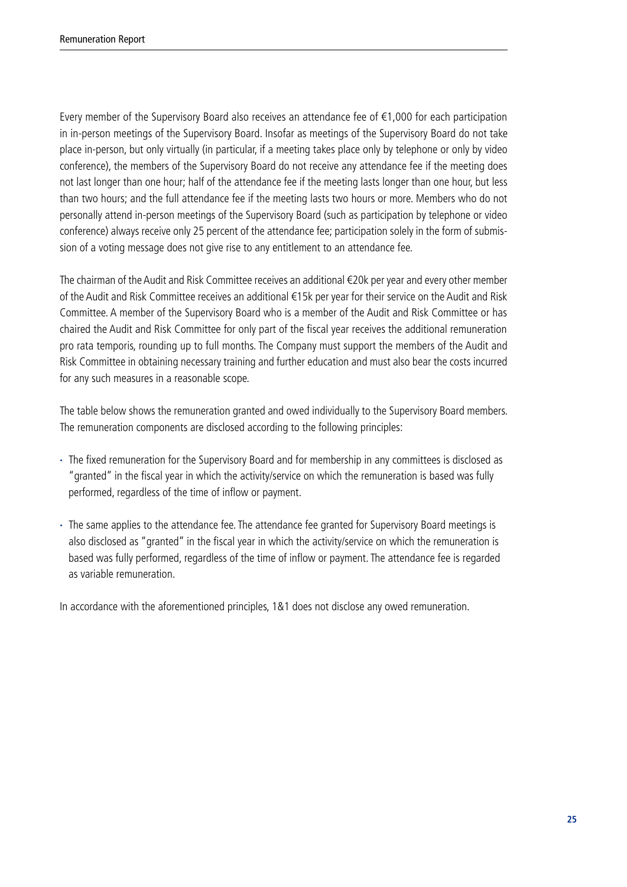Every member of the Supervisory Board also receives an attendance fee of  $\epsilon$ 1,000 for each participation in in-person meetings of the Supervisory Board. Insofar as meetings of the Supervisory Board do not take place in-person, but only virtually (in particular, if a meeting takes place only by telephone or only by video conference), the members of the Supervisory Board do not receive any attendance fee if the meeting does not last longer than one hour; half of the attendance fee if the meeting lasts longer than one hour, but less than two hours; and the full attendance fee if the meeting lasts two hours or more. Members who do not personally attend in-person meetings of the Supervisory Board (such as participation by telephone or video conference) always receive only 25 percent of the attendance fee; participation solely in the form of submission of a voting message does not give rise to any entitlement to an attendance fee.

The chairman of the Audit and Risk Committee receives an additional €20k per year and every other member of the Audit and Risk Committee receives an additional €15k per year for their service on the Audit and Risk Committee. A member of the Supervisory Board who is a member of the Audit and Risk Committee or has chaired the Audit and Risk Committee for only part of the fiscal year receives the additional remuneration pro rata temporis, rounding up to full months. The Company must support the members of the Audit and Risk Committee in obtaining necessary training and further education and must also bear the costs incurred for any such measures in a reasonable scope.

The table below shows the remuneration granted and owed individually to the Supervisory Board members. The remuneration components are disclosed according to the following principles:

- · The fixed remuneration for the Supervisory Board and for membership in any committees is disclosed as "granted" in the fiscal year in which the activity/service on which the remuneration is based was fully performed, regardless of the time of inflow or payment.
- · The same applies to the attendance fee. The attendance fee granted for Supervisory Board meetings is also disclosed as "granted" in the fiscal year in which the activity/service on which the remuneration is based was fully performed, regardless of the time of inflow or payment. The attendance fee is regarded as variable remuneration.

In accordance with the aforementioned principles, 1&1 does not disclose any owed remuneration.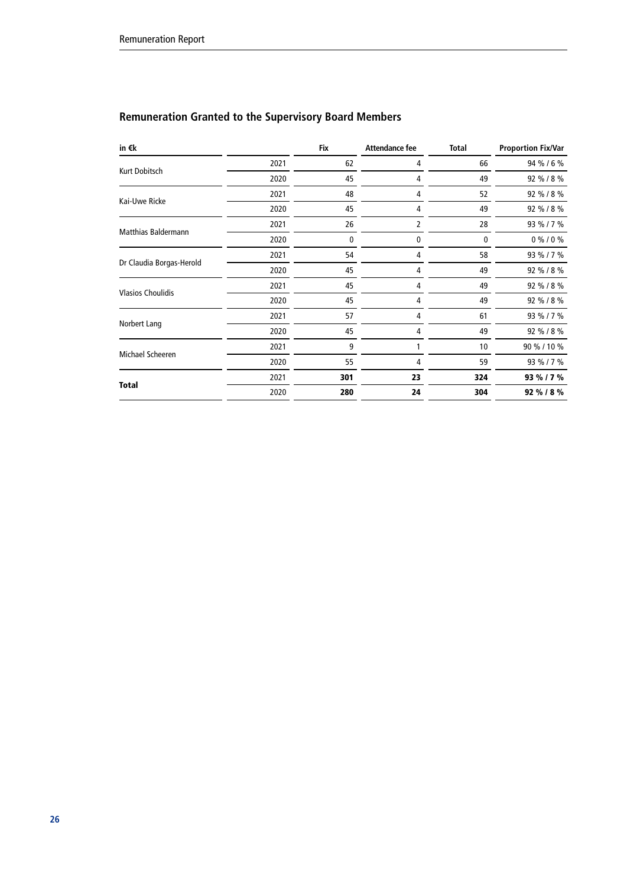## **Remuneration Granted to the Supervisory Board Members**

| in €k                      |      | Fix | <b>Attendance fee</b> | <b>Total</b> | <b>Proportion Fix/Var</b> |
|----------------------------|------|-----|-----------------------|--------------|---------------------------|
|                            | 2021 | 62  | 4                     | 66           | 94 % / 6 %                |
| Kurt Dobitsch              | 2020 | 45  | 4                     | 49           | 92 % / 8 %                |
|                            | 2021 | 48  | 4                     | 52           | 92 % / 8 %                |
| Kai-Uwe Ricke              | 2020 | 45  | 4                     | 49           | 92 % / 8 %                |
|                            | 2021 | 26  | 2                     | 28           | 93 % / 7 %                |
| <b>Matthias Baldermann</b> | 2020 | 0   | 0                     | 0            | $0\%$ / 0 %               |
|                            | 2021 | 54  | 4                     | 58           | 93 % / 7 %                |
| Dr Claudia Borgas-Herold   | 2020 | 45  | 4                     | 49           | 92 % / 8 %                |
|                            | 2021 | 45  | 4                     | 49           | 92 % / 8 %                |
| <b>Vlasios Choulidis</b>   | 2020 | 45  | 4                     | 49           | 92 % / 8 %                |
|                            | 2021 | 57  | 4                     | 61           | 93 % / 7 %                |
| Norbert Lang               | 2020 | 45  | 4                     | 49           | 92 % / 8 %                |
|                            | 2021 | 9   |                       | 10           | 90 % / 10 %               |
| Michael Scheeren           | 2020 | 55  | 4                     | 59           | 93 % / 7 %                |
|                            | 2021 | 301 | 23                    | 324          | 93 % / 7 %                |
| <b>Total</b>               | 2020 | 280 | 24                    | 304          | 92 % / 8 %                |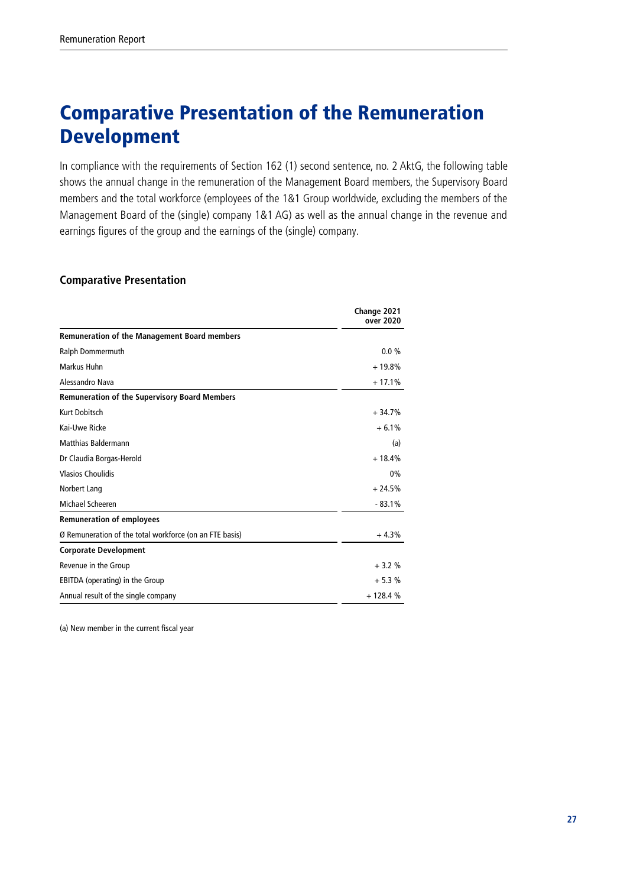# <span id="page-26-0"></span>Comparative Presentation of the Remuneration Development

In compliance with the requirements of Section 162 (1) second sentence, no. 2 AktG, the following table shows the annual change in the remuneration of the Management Board members, the Supervisory Board members and the total workforce (employees of the 1&1 Group worldwide, excluding the members of the Management Board of the (single) company 1&1 AG) as well as the annual change in the revenue and earnings figures of the group and the earnings of the (single) company.

#### **Comparative Presentation**

|                                                         | Change 2021<br>over 2020 |
|---------------------------------------------------------|--------------------------|
| <b>Remuneration of the Management Board members</b>     |                          |
| Ralph Dommermuth                                        | $0.0\%$                  |
| Markus Huhn                                             | $+19.8%$                 |
| Alessandro Nava                                         | $+17.1%$                 |
| <b>Remuneration of the Supervisory Board Members</b>    |                          |
| Kurt Dobitsch                                           | $+34.7%$                 |
| Kai-Uwe Ricke                                           | $+6.1%$                  |
| <b>Matthias Baldermann</b>                              | (a)                      |
| Dr Claudia Borgas-Herold                                | $+18.4%$                 |
| <b>Vlasios Choulidis</b>                                | 0%                       |
| Norbert Lang                                            | $+24.5%$                 |
| Michael Scheeren                                        | $-83.1%$                 |
| <b>Remuneration of employees</b>                        |                          |
| Ø Remuneration of the total workforce (on an FTE basis) | $+4.3%$                  |
| <b>Corporate Development</b>                            |                          |
| Revenue in the Group                                    | $+3.2%$                  |
| EBITDA (operating) in the Group                         | $+5.3%$                  |
| Annual result of the single company                     | $+128.4%$                |

(a) New member in the current fiscal year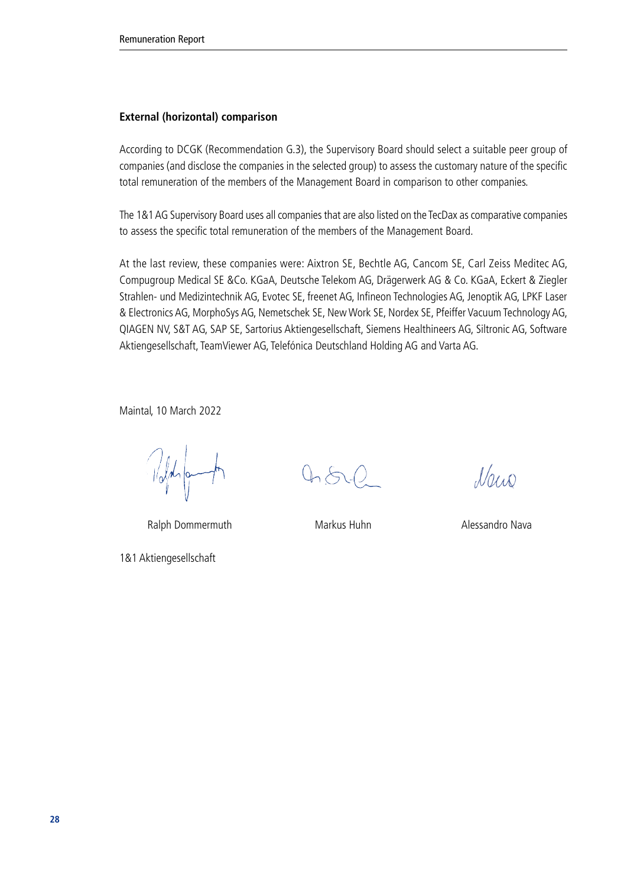#### **External (horizontal) comparison**

According to DCGK (Recommendation G.3), the Supervisory Board should select a suitable peer group of companies (and disclose the companies in the selected group) to assess the customary nature of the specific total remuneration of the members of the Management Board in comparison to other companies.

The 1&1 AG Supervisory Board uses all companies that are also listed on the TecDax as comparative companies to assess the specific total remuneration of the members of the Management Board.

At the last review, these companies were: Aixtron SE, Bechtle AG, Cancom SE, Carl Zeiss Meditec AG, Compugroup Medical SE &Co. KGaA, Deutsche Telekom AG, Drägerwerk AG & Co. KGaA, Eckert & Ziegler Strahlen- und Medizintechnik AG, Evotec SE, freenet AG, Infineon Technologies AG, Jenoptik AG, LPKF Laser & Electronics AG, MorphoSys AG, Nemetschek SE, New Work SE, Nordex SE, Pfeiffer Vacuum Technology AG, QIAGEN NV, S&T AG, SAP SE, Sartorius Aktiengesellschaft, Siemens Healthineers AG, Siltronic AG, Software Aktiengesellschaft, TeamViewer AG, Telefónica Deutschland Holding AG and Varta AG.

Maintal, 10 March 2022

 $\frac{1}{\sqrt{2}}$ 

Ralph Dommermuth Markus Huhn Markus Huhn Alessandro Nava

1&1 Aktiengesellschaft

 $0.502$ 

Nais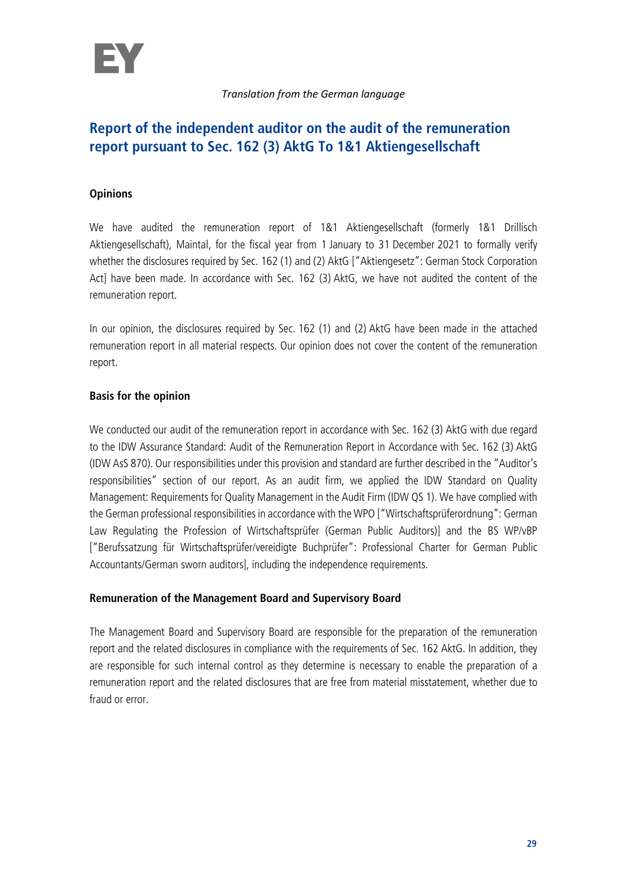## **Report of the independent auditor on the audit of the remuneration report pursuant to Sec. 162 (3) AktG To 1&1 Aktiengesellschaft**

### **Opinions**

We have audited the remuneration report of 1&1 Aktiengesellschaft (formerly 1&1 Drillisch Aktiengesellschaft), Maintal, for the fiscal year from 1 January to 31 December 2021 to formally verify whether the disclosures required by Sec. 162 (1) and (2) AktG ["Aktiengesetz": German Stock Corporation Act] have been made. In accordance with Sec. 162 (3) AktG, we have not audited the content of the remuneration report.

In our opinion, the disclosures required by Sec. 162 (1) and (2) AktG have been made in the attached remuneration report in all material respects. Our opinion does not cover the content of the remuneration report.

### **Basis for the opinion**

We conducted our audit of the remuneration report in accordance with Sec. 162 (3) AktG with due regard to the IDW Assurance Standard: Audit of the Remuneration Report in Accordance with Sec. 162 (3) AktG (IDW AsS 870). Our responsibilities under this provision and standard are further described in the "Auditor's responsibilities" section of our report. As an audit firm, we applied the IDW Standard on Quality Management: Requirements for Quality Management in the Audit Firm (IDW QS 1). We have complied with the German professional responsibilities in accordance with the WPO ["Wirtschaftsprüferordnung": German Law Regulating the Profession of Wirtschaftsprüfer (German Public Auditors)] and the BS WP/vBP ["Berufssatzung für Wirtschaftsprüfer/vereidigte Buchprüfer": Professional Charter for German Public Accountants/German sworn auditors], including the independence requirements.

### **Remuneration of the Management Board and Supervisory Board**

The Management Board and Supervisory Board are responsible for the preparation of the remuneration report and the related disclosures in compliance with the requirements of Sec. 162 AktG. In addition, they are responsible for such internal control as they determine is necessary to enable the preparation of a remuneration report and the related disclosures that are free from material misstatement, whether due to fraud or error.